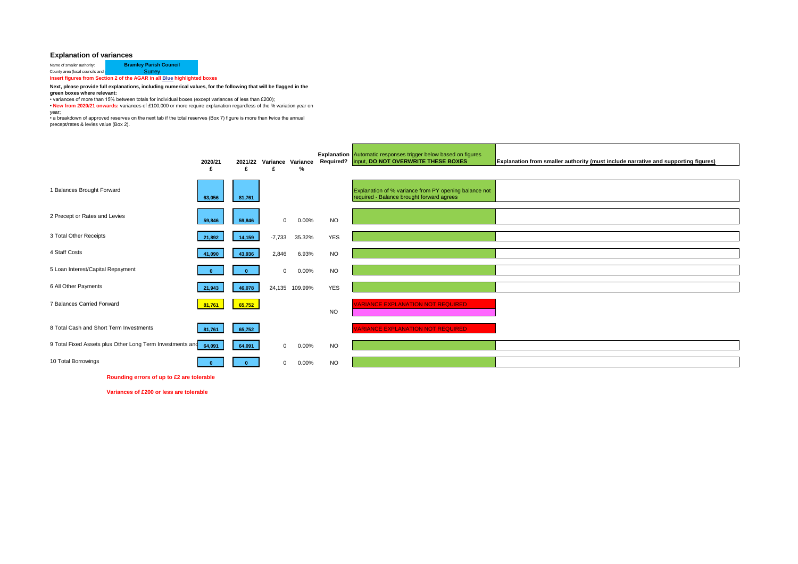## **Explanation of variances**

| Name of smaller authority:                                              | <b>Bramley Parish Council</b> |  |  |  |  |
|-------------------------------------------------------------------------|-------------------------------|--|--|--|--|
| County area (local councils and I                                       | Surrey                        |  |  |  |  |
| Insert figures from Section 2 of the AGAR in all Blue highlighted boxes |                               |  |  |  |  |

## **Next, please provide full explanations, including numerical values, for the following that will be flagged in the**

**green boxes where relevant:**

• variances of more than 15% between totals for individual boxes (except variances of less than £200);

• **New from 2020/21 onwards:** variances of £100,000 or more require explanation regardless of the % variation year on year;

• a breakdown of approved reserves on the next tab if the total reserves (Box 7) figure is more than twice the annual

precept/rates & levies value (Box 2).

|                                                           | 2020/21<br>£ | 2021/22<br>£ | Variance Variance<br>£ | %        |            | <b>Explanation</b> Automatic responses trigger below based on figures<br>Required?   input, DO NOT OVERWRITE THESE BOXES | <b>Explanation from smaller authority (must include narrative and supporting figures)</b> |
|-----------------------------------------------------------|--------------|--------------|------------------------|----------|------------|--------------------------------------------------------------------------------------------------------------------------|-------------------------------------------------------------------------------------------|
| 1 Balances Brought Forward                                | 63,056       | 81,761       |                        |          |            | Explanation of % variance from PY opening balance not<br>required - Balance brought forward agrees                       |                                                                                           |
| 2 Precept or Rates and Levies                             | 59,846       | 59,846       | $\mathbf{0}$           | $0.00\%$ | <b>NO</b>  |                                                                                                                          |                                                                                           |
| 3 Total Other Receipts                                    | 21,892       | 14,159       | $-7,733$               | 35.32%   | <b>YES</b> |                                                                                                                          |                                                                                           |
| 4 Staff Costs                                             | 41,090       | 43,936       | 2,846                  | 6.93%    | <b>NO</b>  |                                                                                                                          |                                                                                           |
| 5 Loan Interest/Capital Repayment                         |              |              | $\mathbf{0}$           | $0.00\%$ | <b>NO</b>  |                                                                                                                          |                                                                                           |
| 6 All Other Payments                                      | 21,943       | 46,078       | 24,135                 | 109.99%  | <b>YES</b> |                                                                                                                          |                                                                                           |
| 7 Balances Carried Forward                                | 81,761       | 65,752       |                        |          | <b>NO</b>  | <b>VARIANCE EXPLANATION NOT REQUIRED</b>                                                                                 |                                                                                           |
| 8 Total Cash and Short Term Investments                   | 81,761       | 65,752       |                        |          |            | <b>VARIANCE EXPLANATION NOT REQUIRED</b>                                                                                 |                                                                                           |
| 9 Total Fixed Assets plus Other Long Term Investments and | 64,091       | 64,091       | $\mathbf{0}$           | 0.00%    | <b>NO</b>  |                                                                                                                          |                                                                                           |
| 10 Total Borrowings                                       |              |              | $\Omega$               | 0.00%    | <b>NO</b>  |                                                                                                                          |                                                                                           |

**Rounding errors of up to £2 are tolerable**

**Variances of £200 or less are tolerable**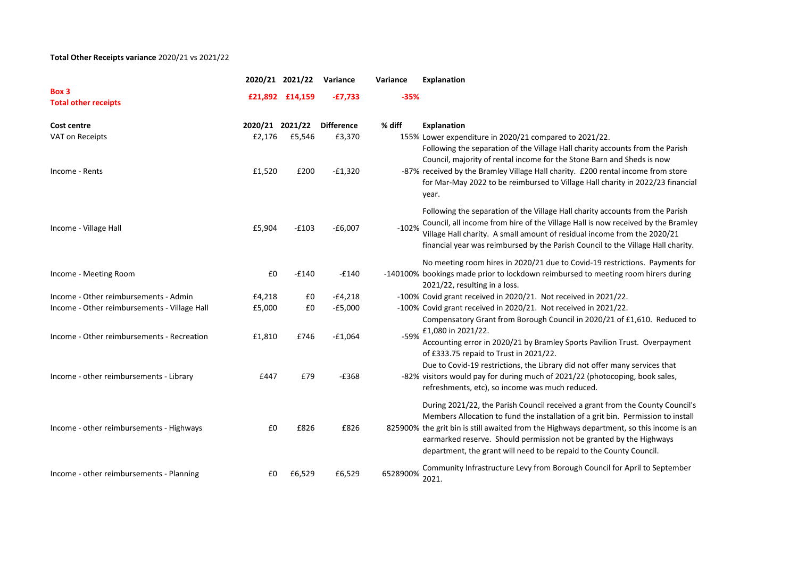## **Total Other Receipts variance** 2020/21 vs 2021/22

|                                                                                       |                  | 2020/21 2021/22 | Variance             | Variance | Explanation                                                                                                                                                                                                                                                                                                                                                                                                                                                    |
|---------------------------------------------------------------------------------------|------------------|-----------------|----------------------|----------|----------------------------------------------------------------------------------------------------------------------------------------------------------------------------------------------------------------------------------------------------------------------------------------------------------------------------------------------------------------------------------------------------------------------------------------------------------------|
| Box 3<br><b>Total other receipts</b>                                                  |                  | £21,892 £14,159 | $-£7,733$            | $-35%$   |                                                                                                                                                                                                                                                                                                                                                                                                                                                                |
| Cost centre                                                                           |                  | 2020/21 2021/22 | <b>Difference</b>    | % diff   | Explanation                                                                                                                                                                                                                                                                                                                                                                                                                                                    |
| VAT on Receipts<br>Income - Rents                                                     | £2,176<br>£1,520 | £5,546<br>£200  | £3,370<br>$-£1,320$  |          | 155% Lower expenditure in 2020/21 compared to 2021/22.<br>Following the separation of the Village Hall charity accounts from the Parish<br>Council, majority of rental income for the Stone Barn and Sheds is now<br>-87% received by the Bramley Village Hall charity. £200 rental income from store<br>for Mar-May 2022 to be reimbursed to Village Hall charity in 2022/23 financial<br>year.                                                               |
| Income - Village Hall                                                                 | £5,904           | $-£103$         | $-£6,007$            | $-102%$  | Following the separation of the Village Hall charity accounts from the Parish<br>Council, all income from hire of the Village Hall is now received by the Bramley<br>Village Hall charity. A small amount of residual income from the 2020/21<br>financial year was reimbursed by the Parish Council to the Village Hall charity.                                                                                                                              |
| Income - Meeting Room                                                                 | £0               | $-£140$         | $-E140$              |          | No meeting room hires in 2020/21 due to Covid-19 restrictions. Payments for<br>-140100% bookings made prior to lockdown reimbursed to meeting room hirers during<br>2021/22, resulting in a loss.                                                                                                                                                                                                                                                              |
| Income - Other reimbursements - Admin                                                 | £4,218           | £0              | $-E4,218$            |          | -100% Covid grant received in 2020/21. Not received in 2021/22.                                                                                                                                                                                                                                                                                                                                                                                                |
| Income - Other reimbursements - Village Hall                                          | £5,000           | £0              | $-£5,000$            |          | -100% Covid grant received in 2020/21. Not received in 2021/22.<br>Compensatory Grant from Borough Council in 2020/21 of £1,610. Reduced to                                                                                                                                                                                                                                                                                                                    |
| Income - Other reimbursements - Recreation<br>Income - other reimbursements - Library | £1,810<br>£447   | £746<br>£79     | $-£1,064$<br>$-£368$ | $-59%$   | £1,080 in 2021/22.<br>Accounting error in 2020/21 by Bramley Sports Pavilion Trust. Overpayment<br>of £333.75 repaid to Trust in 2021/22.<br>Due to Covid-19 restrictions, the Library did not offer many services that<br>-82% visitors would pay for during much of 2021/22 (photocoping, book sales,                                                                                                                                                        |
| Income - other reimbursements - Highways                                              | £0               | £826            | £826                 |          | refreshments, etc), so income was much reduced.<br>During 2021/22, the Parish Council received a grant from the County Council's<br>Members Allocation to fund the installation of a grit bin. Permission to install<br>825900% the grit bin is still awaited from the Highways department, so this income is an<br>earmarked reserve. Should permission not be granted by the Highways<br>department, the grant will need to be repaid to the County Council. |
| Income - other reimbursements - Planning                                              | £0               | £6,529          | £6,529               | 6528900% | Community Infrastructure Levy from Borough Council for April to September<br>2021.                                                                                                                                                                                                                                                                                                                                                                             |